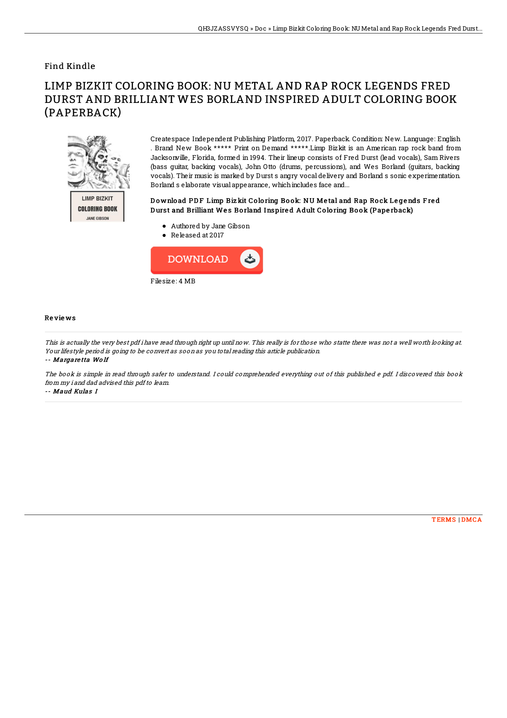## Find Kindle

# LIMP BIZKIT COLORING BOOK: NU METAL AND RAP ROCK LEGENDS FRED DURST AND BRILLIANT WES BORLAND INSPIRED ADULT COLORING BOOK (PAPERBACK)



Createspace Independent Publishing Platform, 2017. Paperback. Condition: New. Language: English . Brand New Book \*\*\*\*\* Print on Demand \*\*\*\*\*.Limp Bizkit is an American rap rock band from Jacksonville, Florida, formed in 1994. Their lineup consists of Fred Durst (lead vocals), Sam Rivers (bass guitar, backing vocals), John Otto (drums, percussions), and Wes Borland (guitars, backing vocals). Their music is marked by Durst s angry vocal delivery and Borland s sonic experimentation. Borland s elaborate visual appearance, whichincludes face and...

### Download PDF Limp Biz kit Coloring Book: NU Metal and Rap Rock Legends Fred Durst and Brilliant Wes Borland Inspired Adult Coloring Book (Paperback)

- Authored by Jane Gibson
- Released at 2017



#### Re vie ws

This is actually the very best pdf i have read through right up until now. This really is for those who statte there was not <sup>a</sup> well worth looking at. Your lifestyle period is going to be convert as soon as you total reading this article publication.

-- Margare tta Wo lf

The book is simple in read through safer to understand. I could comprehended everything out of this published <sup>e</sup> pdf. I discovered this book from my i and dad advised this pdf to learn.

-- Maud Kulas I